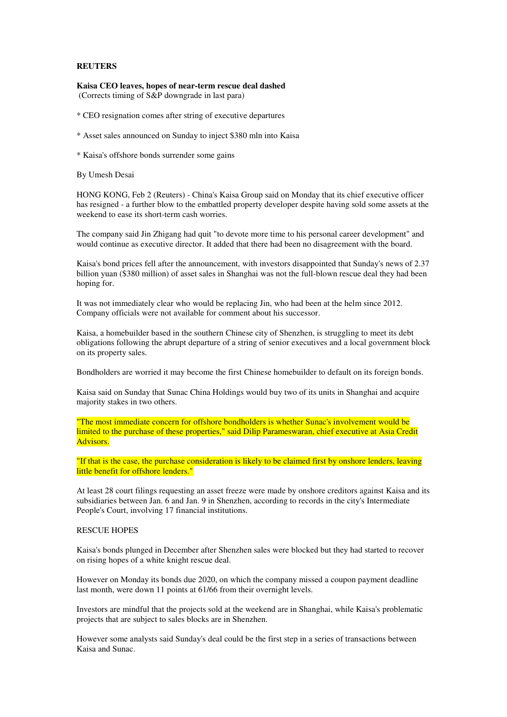## **REUTERS**

**Kaisa CEO leaves, hopes of near-term rescue deal dashed**  (Corrects timing of S&P downgrade in last para)

\* CEO resignation comes after string of executive departures

\* Asset sales announced on Sunday to inject \$380 mln into Kaisa

\* Kaisa's offshore bonds surrender some gains

By Umesh Desai

HONG KONG, Feb 2 (Reuters) - China's Kaisa Group said on Monday that its chief executive officer has resigned - a further blow to the embattled property developer despite having sold some assets at the weekend to ease its short-term cash worries.

The company said Jin Zhigang had quit "to devote more time to his personal career development" and would continue as executive director. It added that there had been no disagreement with the board.

Kaisa's bond prices fell after the announcement, with investors disappointed that Sunday's news of 2.37 billion yuan (\$380 million) of asset sales in Shanghai was not the full-blown rescue deal they had been hoping for.

It was not immediately clear who would be replacing Jin, who had been at the helm since 2012. Company officials were not available for comment about his successor.

Kaisa, a homebuilder based in the southern Chinese city of Shenzhen, is struggling to meet its debt obligations following the abrupt departure of a string of senior executives and a local government block on its property sales.

Bondholders are worried it may become the first Chinese homebuilder to default on its foreign bonds.

Kaisa said on Sunday that Sunac China Holdings would buy two of its units in Shanghai and acquire majority stakes in two others.

"The most immediate concern for offshore bondholders is whether Sunac's involvement would be limited to the purchase of these properties," said Dilip Parameswaran, chief executive at Asia Credit Advisors.

"If that is the case, the purchase consideration is likely to be claimed first by onshore lenders, leaving little benefit for offshore lenders."

At least 28 court filings requesting an asset freeze were made by onshore creditors against Kaisa and its subsidiaries between Jan. 6 and Jan. 9 in Shenzhen, according to records in the city's Intermediate People's Court, involving 17 financial institutions.

## RESCUE HOPES

Kaisa's bonds plunged in December after Shenzhen sales were blocked but they had started to recover on rising hopes of a white knight rescue deal.

However on Monday its bonds due 2020, on which the company missed a coupon payment deadline last month, were down 11 points at 61/66 from their overnight levels.

Investors are mindful that the projects sold at the weekend are in Shanghai, while Kaisa's problematic projects that are subject to sales blocks are in Shenzhen.

However some analysts said Sunday's deal could be the first step in a series of transactions between Kaisa and Sunac.